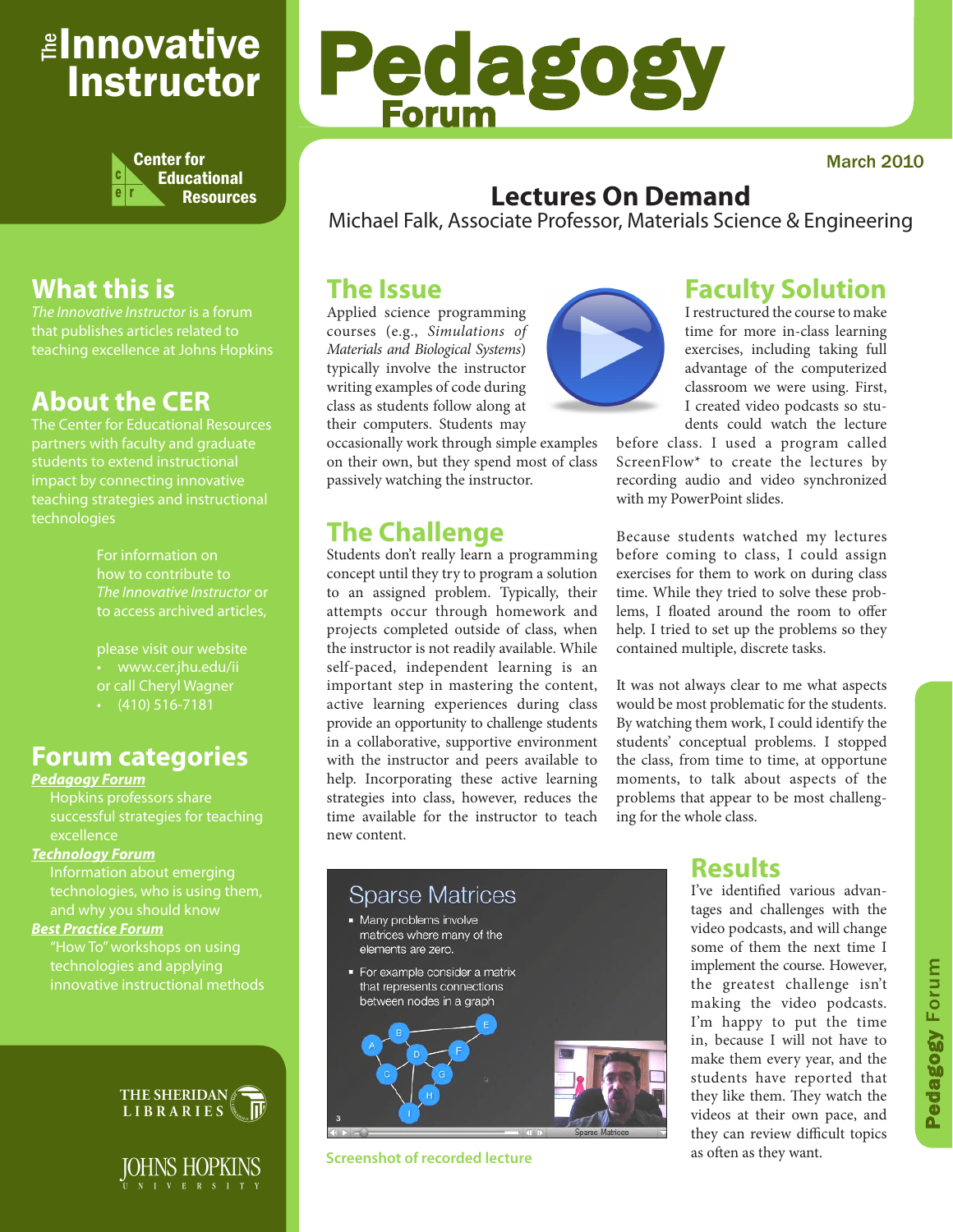## <sub>≝l</sub>nnovative Instructor



## **What this is**

*The Innovative Instructor* is a forum that publishes articles related to teaching excellence at Johns Hopkins

### **About the CER**

The Center for Educational Resources partners with faculty and graduate impact by connecting innovative teaching strategies and instructional technologies

> For information on how to contribute to *The Innovative Instructor* or to access archived articles,

please visit our website • www.cer.jhu.edu/ii or call Cheryl Wagner  $\cdot$  (410) 516-7181

#### **Forum categories**

#### *Pedagogy Forum*

Hopkins professors share successful strategies for teaching excellence

#### *Technology Forum*

Information about emerging technologies, who is using them,

#### *Best Practice Forum*

technologies and applying innovative instructional methods





# Pedagogy Forum

#### March 2010

#### **Lectures On Demand**

Michael Falk, Associate Professor, Materials Science & Engineering

#### **The Issue**

Applied science programming courses (e.g., *Simulations of Materials and Biological Systems*) typically involve the instructor writing examples of code during class as students follow along at their computers. Students may

occasionally work through simple examples on their own, but they spend most of class passively watching the instructor.

## **The Challenge**

Students don't really learn a programming concept until they try to program a solution to an assigned problem. Typically, their attempts occur through homework and projects completed outside of class, when the instructor is not readily available. While self-paced, independent learning is an important step in mastering the content, active learning experiences during class provide an opportunity to challenge students in a collaborative, supportive environment with the instructor and peers available to help. Incorporating these active learning strategies into class, however, reduces the time available for the instructor to teach new content.



#### **Faculty Solution**

I restructured the course to make time for more in-class learning exercises, including taking full advantage of the computerized classroom we were using. First, I created video podcasts so students could watch the lecture

before class. I used a program called ScreenFlow\* to create the lectures by recording audio and video synchronized with my PowerPoint slides.

Because students watched my lectures before coming to class, I could assign exercises for them to work on during class time. While they tried to solve these problems, I floated around the room to offer help. I tried to set up the problems so they contained multiple, discrete tasks.

It was not always clear to me what aspects would be most problematic for the students. By watching them work, I could identify the students' conceptual problems. I stopped the class, from time to time, at opportune moments, to talk about aspects of the problems that appear to be most challenging for the whole class.



**Screenshot of recorded lecture**

#### **Results**

I've identified various advantages and challenges with the video podcasts, and will change some of them the next time I implement the course. However, the greatest challenge isn't making the video podcasts. I'm happy to put the time in, because I will not have to make them every year, and the students have reported that they like them. They watch the videos at their own pace, and they can review difficult topics as often as they want.